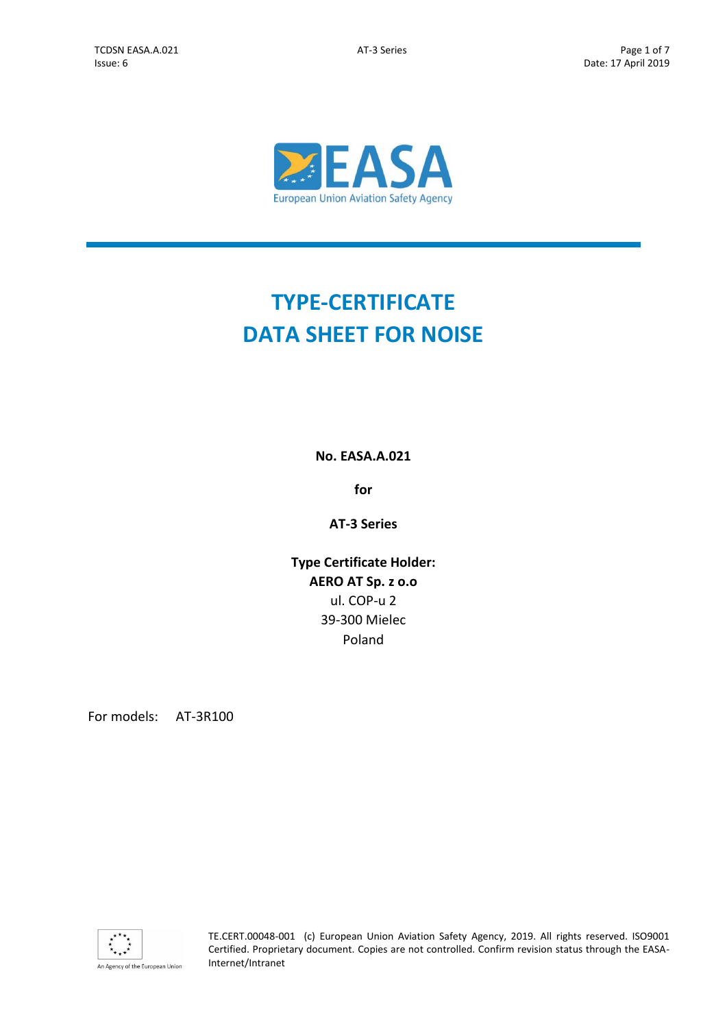

# **TYPE-CERTIFICATE DATA SHEET FOR NOISE**

**No. EASA.A.021**

**for**

**AT-3 Series**

**Type Certificate Holder: AERO AT Sp. z o.o** ul. COP-u 2 39-300 Mielec Poland

For models: AT-3R100



TE.CERT.00048-001 (c) European Union Aviation Safety Agency, 2019. All rights reserved. ISO9001 Certified. Proprietary document. Copies are not controlled. Confirm revision status through the EASA-Internet/Intranet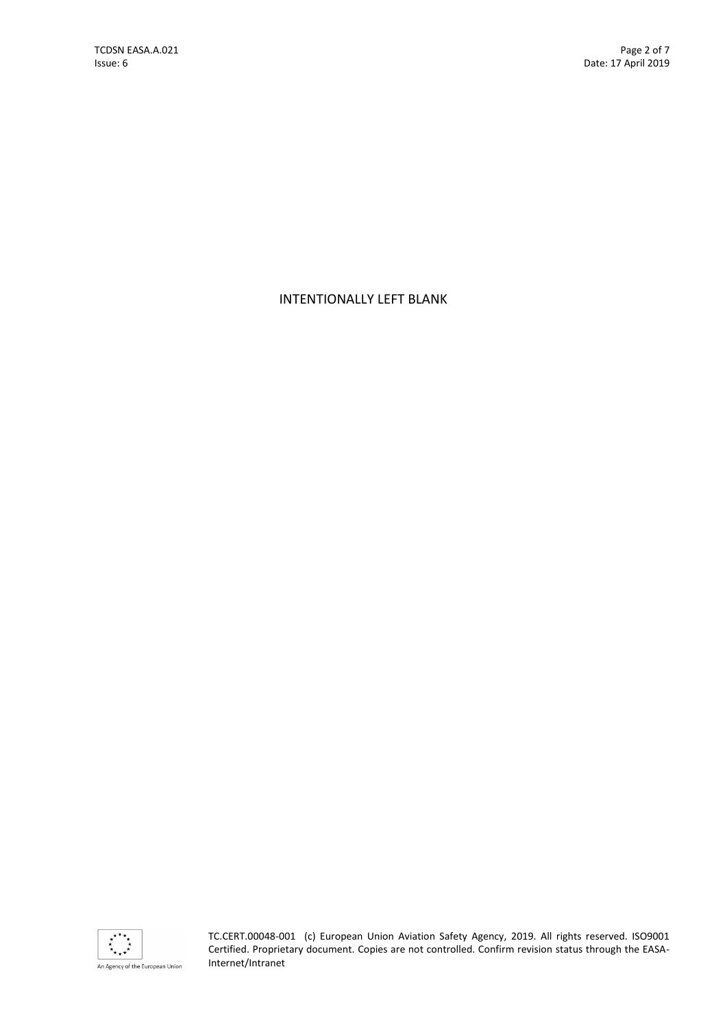# INTENTIONALLY LEFT BLANK



TC.CERT.00048-001 (c) European Union Aviation Safety Agency, 2019. All rights reserved. ISO9001 Certified. Proprietary document. Copies are not controlled. Confirm revision status through the EASA-Internet/Intranet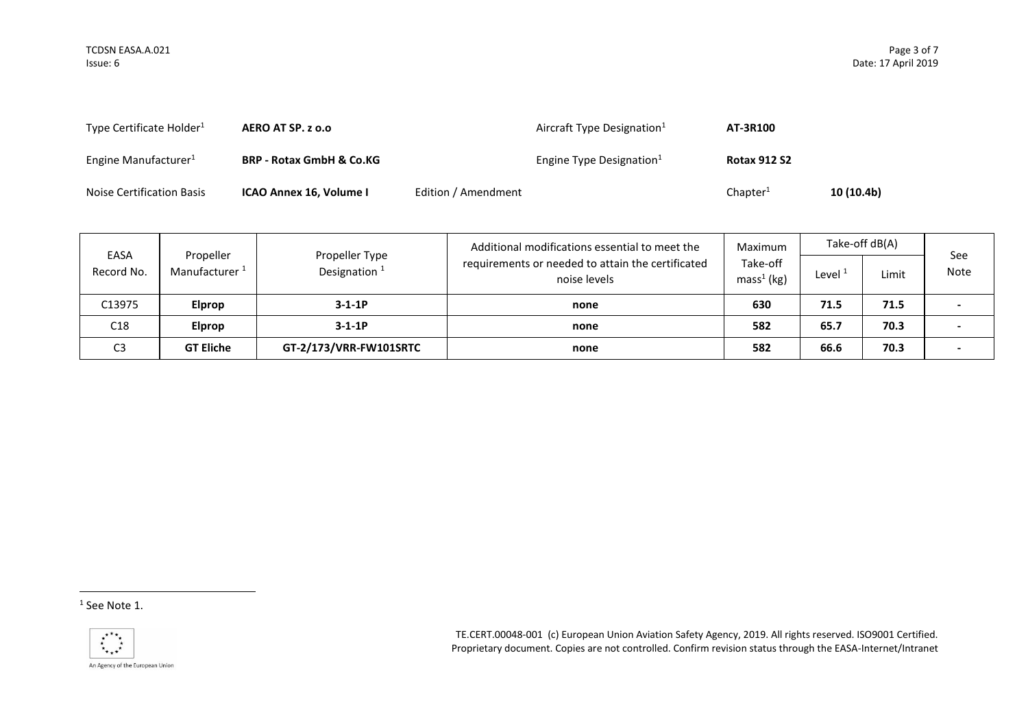| Type Certificate Holder <sup>1</sup> | AERO AT SP. z o.o                   |                     | Aircraft Type Designation <sup>1</sup> | AT-3R100            |           |
|--------------------------------------|-------------------------------------|---------------------|----------------------------------------|---------------------|-----------|
| Engine Manufacturer <sup>1</sup>     | <b>BRP - Rotax GmbH &amp; Co.KG</b> |                     | Engine Type Designation <sup>1</sup>   | <b>Rotax 912 S2</b> |           |
| Noise Certification Basis            | <b>ICAO Annex 16, Volume I</b>      | Edition / Amendment |                                        | Chapter $1$         | 10(10.4b) |

|                    |                                        |                                            | Additional modifications essential to meet the                    | Maximum                  | Take-off dB(A)     |       |                    |
|--------------------|----------------------------------------|--------------------------------------------|-------------------------------------------------------------------|--------------------------|--------------------|-------|--------------------|
| EASA<br>Record No. | Propeller<br>Manufacturer <sup>1</sup> | Propeller Type<br>Designation <sup>1</sup> | requirements or needed to attain the certificated<br>noise levels | Take-off<br>$mass1$ (kg) | Level <sup>1</sup> | Limit | See<br><b>Note</b> |
| C13975             | <b>Elprop</b>                          | $3 - 1 - 1P$                               | none                                                              | 630                      | 71.5               | 71.5  |                    |
| C18                | <b>Elprop</b>                          | $3 - 1 - 1P$                               | none                                                              | 582                      | 65.7               | 70.3  |                    |
| C3                 | <b>GT Eliche</b>                       | GT-2/173/VRR-FW101SRTC                     | none                                                              | 582                      | 66.6               | 70.3  |                    |

1 See Note 1.

1



TE.CERT.00048-001 (c) European Union Aviation Safety Agency, 2019. All rights reserved. ISO9001 Certified. Proprietary document. Copies are not controlled. Confirm revision status through the EASA-Internet/Intranet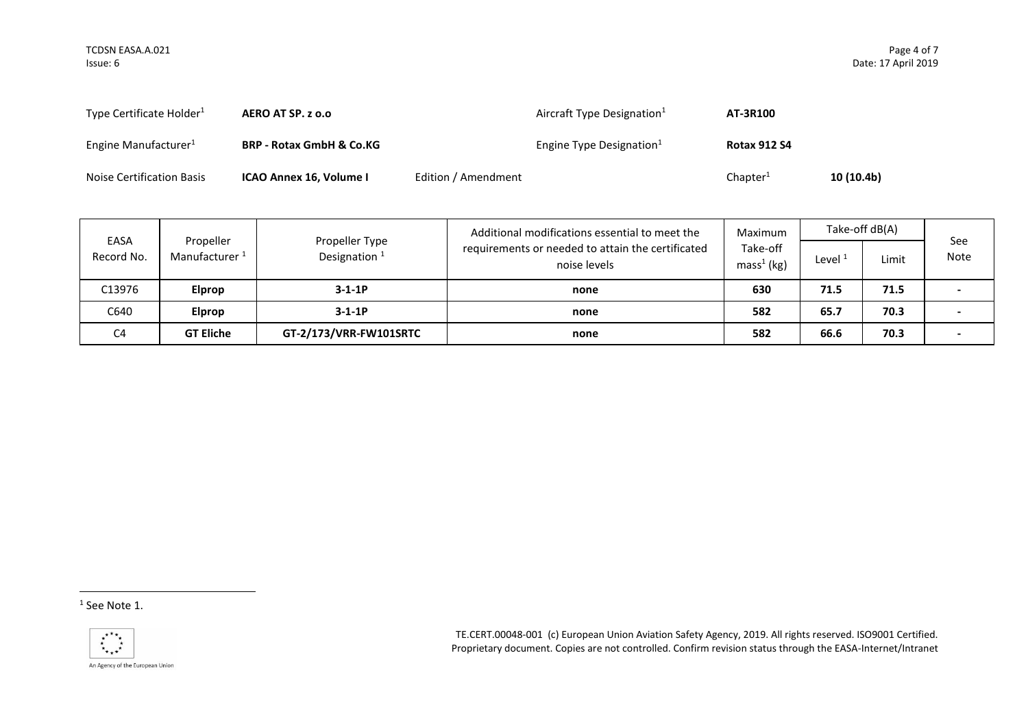| Type Certificate Holder <sup>1</sup> | AERO AT SP. z o.o                   |                     | Aircraft Type Designation <sup>1</sup> | AT-3R100             |            |
|--------------------------------------|-------------------------------------|---------------------|----------------------------------------|----------------------|------------|
| Engine Manufacturer <sup>1</sup>     | <b>BRP - Rotax GmbH &amp; Co.KG</b> |                     | Engine Type Designation <sup>1</sup>   | <b>Rotax 912 S4</b>  |            |
| Noise Certification Basis            | ICAO Annex 16, Volume I             | Edition / Amendment |                                        | Chanter <sup>1</sup> | 10 (10.4b) |

| EASA       |                                        | Additional modifications essential to meet the | Maximum                                                           | Take-off dB(A)           |       |       |             |
|------------|----------------------------------------|------------------------------------------------|-------------------------------------------------------------------|--------------------------|-------|-------|-------------|
| Record No. | Propeller<br>Manufacturer <sup>1</sup> | Propeller Type<br>Designation <sup>1</sup>     | requirements or needed to attain the certificated<br>noise levels | Take-off<br>$mass1$ (kg) | Level | Limit | See<br>Note |
| C13976     | Elprop                                 | $3 - 1 - 1P$                                   | none                                                              | 630                      | 71.5  | 71.5  |             |
| C640       | Elprop                                 | $3 - 1 - 1P$                                   | none                                                              | 582                      | 65.7  | 70.3  |             |
| C4         | <b>GT Eliche</b>                       | GT-2/173/VRR-FW101SRTC                         | none                                                              | 582                      | 66.6  | 70.3  |             |

1 See Note 1.

1



TE.CERT.00048-001 (c) European Union Aviation Safety Agency, 2019. All rights reserved. ISO9001 Certified. Proprietary document. Copies are not controlled. Confirm revision status through the EASA-Internet/Intranet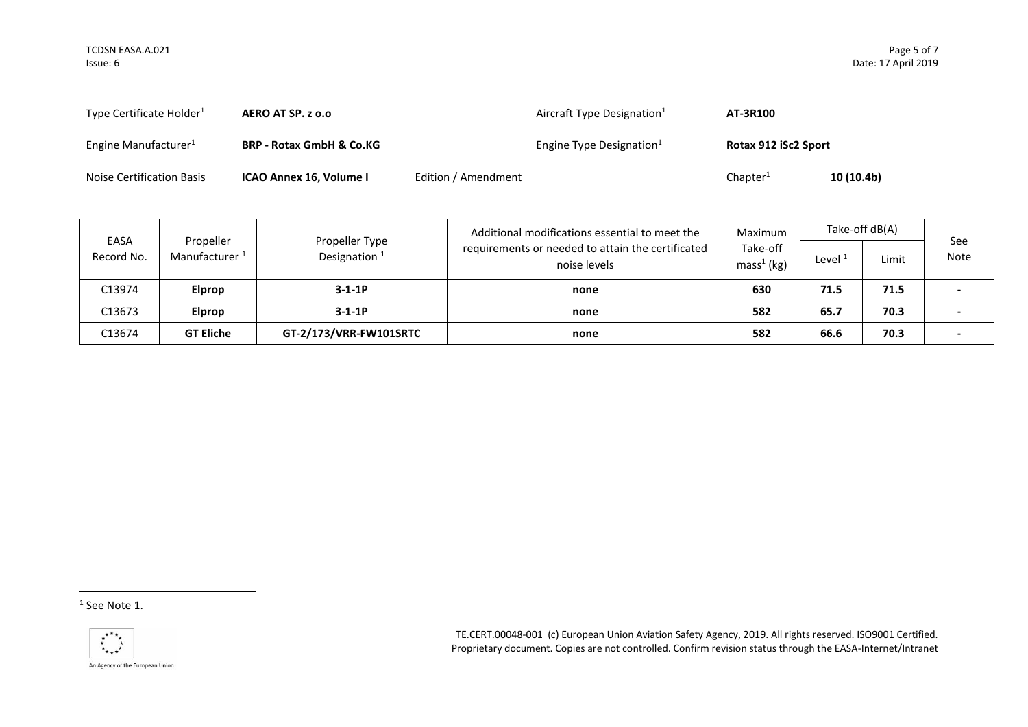| Type Certificate Holder <sup>1</sup> | AERO AT SP. z o.o                   |                     | Aircraft Type Designation $1$        | AT-3R100             |           |
|--------------------------------------|-------------------------------------|---------------------|--------------------------------------|----------------------|-----------|
| Engine Manufacturer <sup>1</sup>     | <b>BRP - Rotax GmbH &amp; Co.KG</b> |                     | Engine Type Designation <sup>1</sup> | Rotax 912 iSc2 Sport |           |
| Noise Certification Basis            | ICAO Annex 16, Volume I             | Edition / Amendment |                                      | Chapter <sup>1</sup> | 10(10.4b) |

| EASA       |                                        |                                            | Additional modifications essential to meet the                    | Maximum                  | Take-off dB(A)     |       |                          |
|------------|----------------------------------------|--------------------------------------------|-------------------------------------------------------------------|--------------------------|--------------------|-------|--------------------------|
| Record No. | Propeller<br>Manufacturer <sup>1</sup> | Propeller Type<br>Designation <sup>1</sup> | requirements or needed to attain the certificated<br>noise levels | Take-off<br>$mass1$ (kg) | Level <sup>1</sup> | Limit | See<br><b>Note</b>       |
| C13974     | <b>Elprop</b>                          | $3 - 1 - 1P$                               | none                                                              | 630                      | 71.5               | 71.5  |                          |
| C13673     | <b>Elprop</b>                          | $3 - 1 - 1P$                               | none                                                              | 582                      | 65.7               | 70.3  |                          |
| C13674     | <b>GT Eliche</b>                       | GT-2/173/VRR-FW101SRTC                     | none                                                              | 582                      | 66.6               | 70.3  | $\overline{\phantom{a}}$ |

1 See Note 1.

1



TE.CERT.00048-001 (c) European Union Aviation Safety Agency, 2019. All rights reserved. ISO9001 Certified. Proprietary document. Copies are not controlled. Confirm revision status through the EASA-Internet/Intranet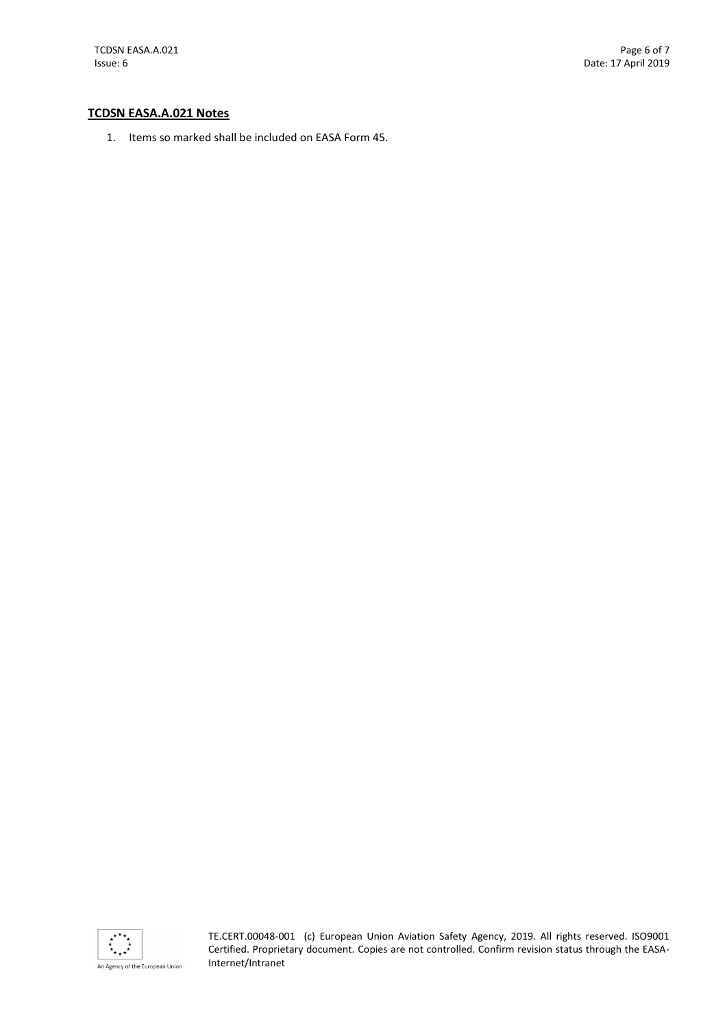Page 6 of 7<br>Page 6 of 7<br>Date: 17 April 2019

### **TCDSN EASA.A.021 Notes**

1. Items so marked shall be included on EASA Form 45.



TE.CERT.00048-001 (c) European Union Aviation Safety Agency, 2019. All rights reserved. ISO9001 Certified. Proprietary document. Copies are not controlled. Confirm revision status through the EASA-Internet/Intranet